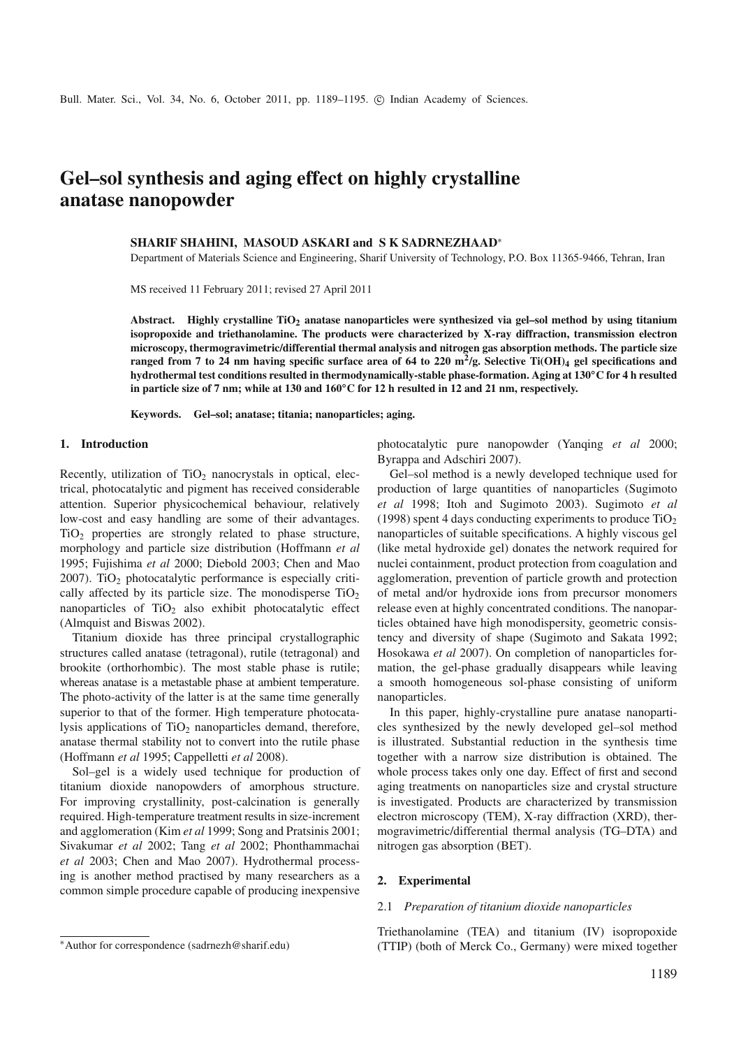# **Gel–sol synthesis and aging effect on highly crystalline anatase nanopowder**

#### **SHARIF SHAHINI, MASOUD ASKARI and S K SADRNEZHAAD**<sup>∗</sup>

Department of Materials Science and Engineering, Sharif University of Technology, P.O. Box 11365-9466, Tehran, Iran

MS received 11 February 2011; revised 27 April 2011

**Abstract. Highly crystalline TiO2 anatase nanoparticles were synthesized via gel–sol method by using titanium isopropoxide and triethanolamine. The products were characterized by X-ray diffraction, transmission electron microscopy, thermogravimetric/differential thermal analysis and nitrogen gas absorption methods. The particle size ranged from 7 to 24 nm having specific surface area of 64 to 220 m2/g. Selective Ti(OH)4 gel specifications and hydrothermal test conditions resulted in thermodynamically-stable phase-formation. Aging at 130◦C for 4 h resulted in particle size of 7 nm; while at 130 and 160◦C for 12 h resulted in 12 and 21 nm, respectively.**

**Keywords. Gel–sol; anatase; titania; nanoparticles; aging.**

#### **1. Introduction**

Recently, utilization of  $TiO<sub>2</sub>$  nanocrystals in optical, electrical, photocatalytic and pigment has received considerable attention. Superior physicochemical behaviour, relatively low-cost and easy handling are some of their advantages. TiO2 properties are strongly related to phase structure, morphology and particle size distribution (Hoffmann *et al* 1995; Fujishima *et al* 2000; Diebold 2003; Chen and Mao  $2007$ ). TiO<sub>2</sub> photocatalytic performance is especially critically affected by its particle size. The monodisperse  $TiO<sub>2</sub>$ nanoparticles of  $TiO<sub>2</sub>$  also exhibit photocatalytic effect (Almquist and Biswas 2002).

Titanium dioxide has three principal crystallographic structures called anatase (tetragonal), rutile (tetragonal) and brookite (orthorhombic). The most stable phase is rutile; whereas anatase is a metastable phase at ambient temperature. The photo-activity of the latter is at the same time generally superior to that of the former. High temperature photocatalysis applications of  $TiO<sub>2</sub>$  nanoparticles demand, therefore, anatase thermal stability not to convert into the rutile phase (Hoffmann *et al* 1995; Cappelletti *et al* 2008).

Sol–gel is a widely used technique for production of titanium dioxide nanopowders of amorphous structure. For improving crystallinity, post-calcination is generally required. High-temperature treatment results in size-increment and agglomeration (Kim *et al* 1999; Song and Pratsinis 2001; Sivakumar *et al* 2002; Tang *et al* 2002; Phonthammachai *et al* 2003; Chen and Mao 2007). Hydrothermal processing is another method practised by many researchers as a common simple procedure capable of producing inexpensive photocatalytic pure nanopowder (Yanqing *et al* 2000; Byrappa and Adschiri 2007).

Gel–sol method is a newly developed technique used for production of large quantities of nanoparticles (Sugimoto *et al* 1998; Itoh and Sugimoto 2003). Sugimoto *et al* (1998) spent 4 days conducting experiments to produce  $TiO<sub>2</sub>$ nanoparticles of suitable specifications. A highly viscous gel (like metal hydroxide gel) donates the network required for nuclei containment, product protection from coagulation and agglomeration, prevention of particle growth and protection of metal and/or hydroxide ions from precursor monomers release even at highly concentrated conditions. The nanoparticles obtained have high monodispersity, geometric consistency and diversity of shape (Sugimoto and Sakata 1992; Hosokawa *et al* 2007). On completion of nanoparticles formation, the gel-phase gradually disappears while leaving a smooth homogeneous sol-phase consisting of uniform nanoparticles.

In this paper, highly-crystalline pure anatase nanoparticles synthesized by the newly developed gel–sol method is illustrated. Substantial reduction in the synthesis time together with a narrow size distribution is obtained. The whole process takes only one day. Effect of first and second aging treatments on nanoparticles size and crystal structure is investigated. Products are characterized by transmission electron microscopy (TEM), X-ray diffraction (XRD), thermogravimetric/differential thermal analysis (TG–DTA) and nitrogen gas absorption (BET).

#### **2. Experimental**

#### 2.1 *Preparation of titanium dioxide nanoparticles*

Triethanolamine (TEA) and titanium (IV) isopropoxide (TTIP) (both of Merck Co., Germany) were mixed together

<sup>∗</sup>Author for correspondence (sadrnezh@sharif.edu)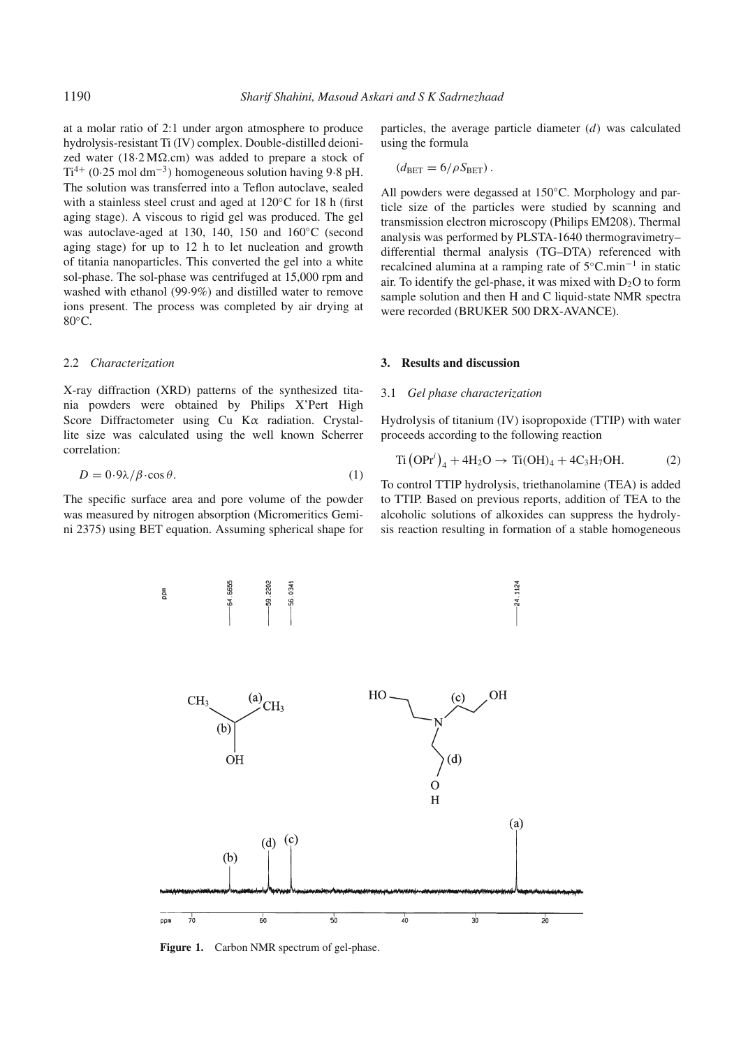at a molar ratio of 2:1 under argon atmosphere to produce hydrolysis-resistant Ti (IV) complex. Double-distilled deionized water  $(18.2 \text{ M}\Omega \text{cm})$  was added to prepare a stock of  $Ti^{4+}$  (0·25 mol dm<sup>-3</sup>) homogeneous solution having 9·8 pH. The solution was transferred into a Teflon autoclave, sealed with a stainless steel crust and aged at 120◦C for 18 h (first aging stage). A viscous to rigid gel was produced. The gel was autoclave-aged at 130, 140, 150 and 160◦C (second aging stage) for up to 12 h to let nucleation and growth of titania nanoparticles. This converted the gel into a white sol-phase. The sol-phase was centrifuged at 15,000 rpm and washed with ethanol (99·9%) and distilled water to remove ions present. The process was completed by air drying at 80<sup>°</sup>C.

#### 2.2 *Characterization*

X-ray diffraction (XRD) patterns of the synthesized titania powders were obtained by Philips X'Pert High Score Diffractometer using Cu Kα radiation. Crystallite size was calculated using the well known Scherrer correlation:

$$
D = 0.9\lambda/\beta \cdot \cos \theta. \tag{1}
$$

The specific surface area and pore volume of the powder was measured by nitrogen absorption (Micromeritics Gemini 2375) using BET equation. Assuming spherical shape for

particles, the average particle diameter (*d*) was calculated using the formula

$$
(d_{\text{BET}}=6/\rho S_{\text{BET}}).
$$

All powders were degassed at 150◦C. Morphology and particle size of the particles were studied by scanning and transmission electron microscopy (Philips EM208). Thermal analysis was performed by PLSTA-1640 thermogravimetry– differential thermal analysis (TG–DTA) referenced with recalcined alumina at a ramping rate of 5◦C.min−<sup>1</sup> in static air. To identify the gel-phase, it was mixed with  $D<sub>2</sub>O$  to form sample solution and then H and C liquid-state NMR spectra were recorded (BRUKER 500 DRX-AVANCE).

#### **3. Results and discussion**

#### 3.1 *Gel phase characterization*

Hydrolysis of titanium (IV) isopropoxide (TTIP) with water proceeds according to the following reaction

$$
Ti (OPr^{i})_{4} + 4H_{2}O \rightarrow Ti(OH)_{4} + 4C_{3}H_{7}OH.
$$
 (2)

To control TTIP hydrolysis, triethanolamine (TEA) is added to TTIP. Based on previous reports, addition of TEA to the alcoholic solutions of alkoxides can suppress the hydrolysis reaction resulting in formation of a stable homogeneous



Figure 1. Carbon NMR spectrum of gel-phase.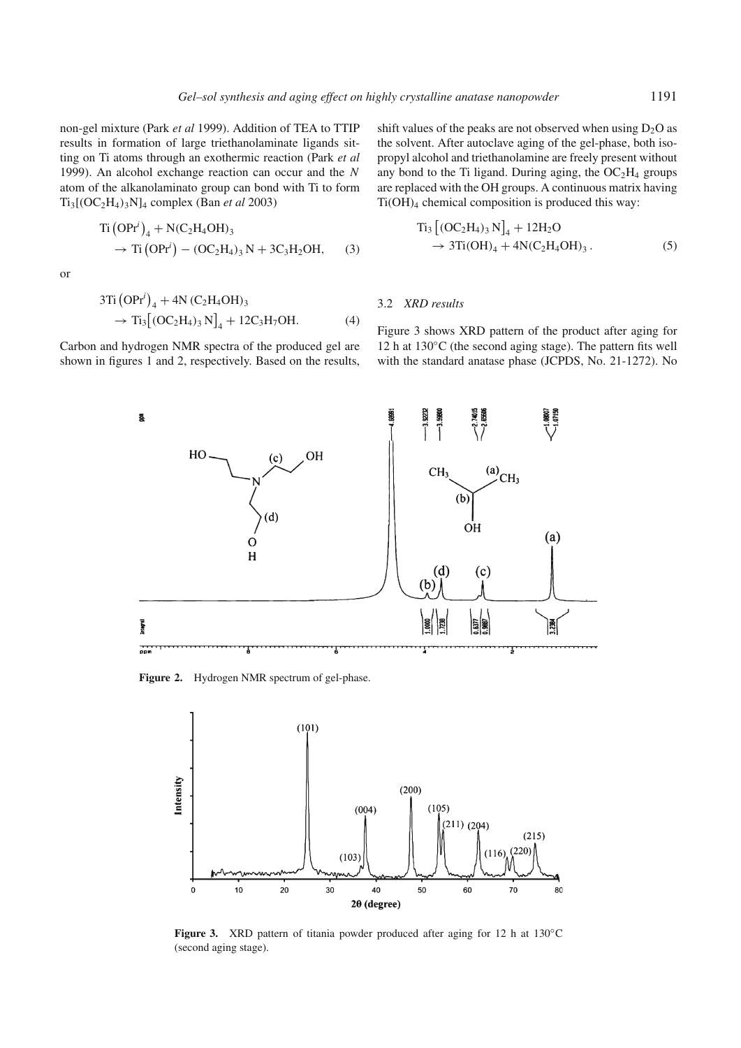non-gel mixture (Park *et al* 1999). Addition of TEA to TTIP results in formation of large triethanolaminate ligands sitting on Ti atoms through an exothermic reaction (Park *et al* 1999). An alcohol exchange reaction can occur and the *N* atom of the alkanolaminato group can bond with Ti to form Ti3[(OC2H4)3N]4 complex (Ban *et al* 2003)

Ti -OPr*<sup>i</sup>* <sup>4</sup> + N(C2H4OH)<sup>3</sup> → Ti -OPr*<sup>i</sup>* − (OC2H4)<sup>3</sup> N + 3C3H2OH, (3)

or

 $\overline{a}$ 

$$
3Ti (OPri)4 + 4N (C2H4OH)3
$$
  
\n
$$
\rightarrow Ti3 [(OC2H4)3 N]4 + 12C3H7OH.
$$
 (4)

Carbon and hydrogen NMR spectra of the produced gel are shown in figures 1 and 2, respectively. Based on the results,

shift values of the peaks are not observed when using  $D_2O$  as the solvent. After autoclave aging of the gel-phase, both isopropyl alcohol and triethanolamine are freely present without any bond to the Ti ligand. During aging, the  $OC<sub>2</sub>H<sub>4</sub>$  groups are replaced with the OH groups. A continuous matrix having Ti(OH)4 chemical composition is produced this way:

$$
Ti_3 [(OC_2H_4)_3 N]_4 + 12H_2O
$$
  
\n
$$
\rightarrow 3Ti(OH)_4 + 4N(C_2H_4OH)_3.
$$
 (5)

#### 3.2 *XRD results*

Figure 3 shows XRD pattern of the product after aging for 12 h at 130◦C (the second aging stage). The pattern fits well with the standard anatase phase (JCPDS, No. 21-1272). No



**Figure 2.** Hydrogen NMR spectrum of gel-phase.



Figure 3. XRD pattern of titania powder produced after aging for 12 h at 130<sup>°</sup>C (second aging stage).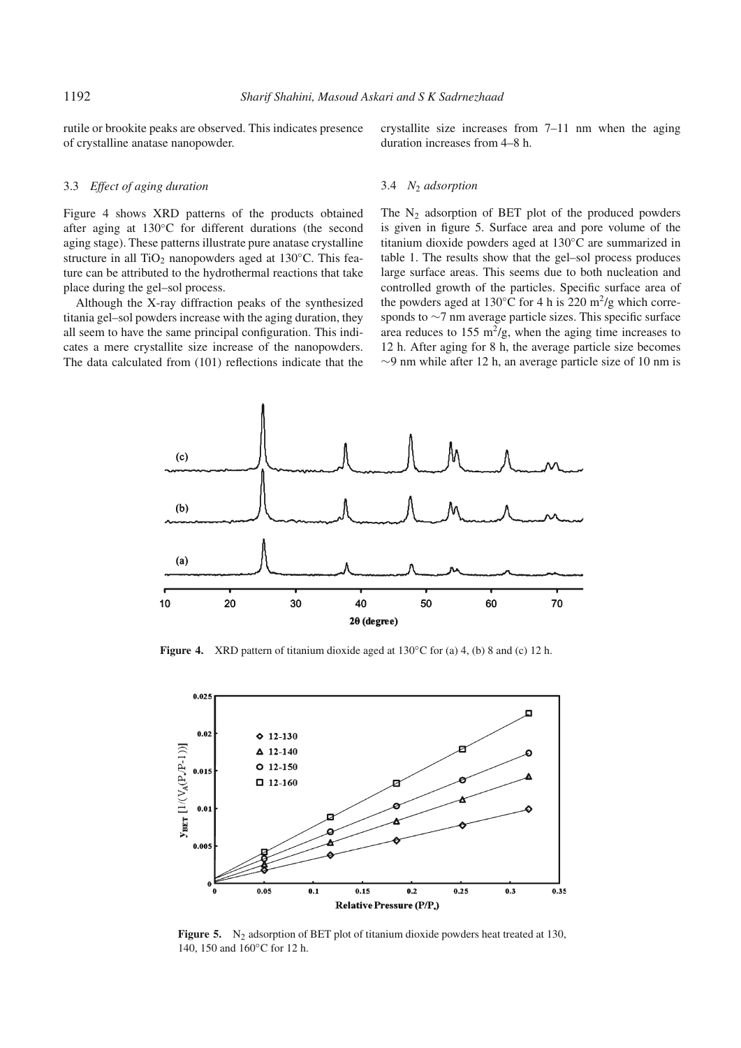3.4 *N*<sup>2</sup> *adsorption*

rutile or brookite peaks are observed. This indicates presence of crystalline anatase nanopowder.

crystallite size increases from 7–11 nm when the aging duration increases from 4–8 h.

### 3.3 *Effect of aging duration*

Figure 4 shows XRD patterns of the products obtained after aging at 130◦C for different durations (the second aging stage). These patterns illustrate pure anatase crystalline structure in all TiO<sub>2</sub> nanopowders aged at 130 $\degree$ C. This feature can be attributed to the hydrothermal reactions that take place during the gel–sol process.

Although the X-ray diffraction peaks of the synthesized titania gel–sol powders increase with the aging duration, they all seem to have the same principal configuration. This indicates a mere crystallite size increase of the nanopowders. The data calculated from (101) reflections indicate that the

The  $N_2$  adsorption of BET plot of the produced powders is given in figure 5. Surface area and pore volume of the titanium dioxide powders aged at 130◦C are summarized in table 1. The results show that the gel–sol process produces large surface areas. This seems due to both nucleation and

controlled growth of the particles. Specific surface area of the powders aged at 130 $\degree$ C for 4 h is 220 m<sup>2</sup>/g which corresponds to ∼7 nm average particle sizes. This specific surface area reduces to  $155 \text{ m}^2/\text{g}$ , when the aging time increases to 12 h. After aging for 8 h, the average particle size becomes ∼9 nm while after 12 h, an average particle size of 10 nm is



**Figure 4.** XRD pattern of titanium dioxide aged at 130◦C for (a) 4, (b) 8 and (c) 12 h.



**Figure 5.** N<sub>2</sub> adsorption of BET plot of titanium dioxide powders heat treated at 130, 140, 150 and 160◦C for 12 h.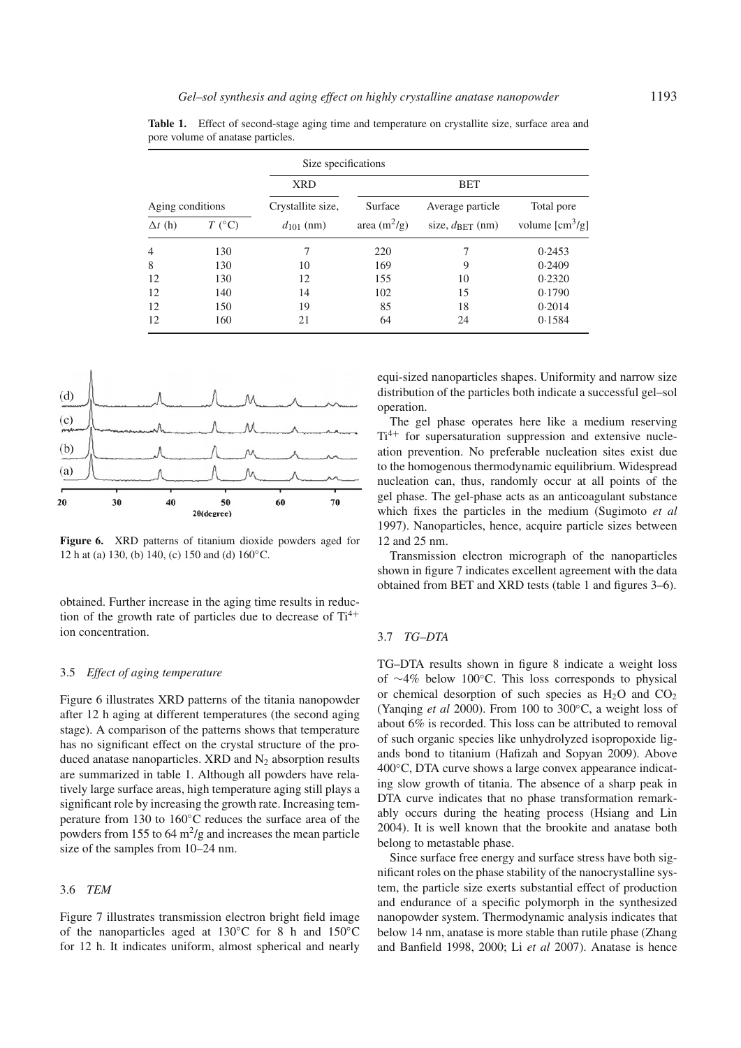|                  |                     | Size specifications |                |                             |                                |
|------------------|---------------------|---------------------|----------------|-----------------------------|--------------------------------|
|                  |                     | <b>XRD</b>          | <b>BET</b>     |                             |                                |
| Aging conditions |                     | Crystallite size,   | Surface        | Average particle            | Total pore                     |
| $\Delta t$ (h)   | $T$ ( $^{\circ}$ C) | $d_{101}$ (nm)      | area $(m^2/g)$ | size, $d_{\text{BET}}$ (nm) | volume $\text{[cm}^3/\text{g}$ |
| 4                | 130                 | 7                   | 220            | 7                           | 0.2453                         |
| 8                | 130                 | 10                  | 169            | 9                           | 0.2409                         |
| 12               | 130                 | 12                  | 155            | 10                          | 0.2320                         |
| 12               | 140                 | 14                  | 102            | 15                          | 0.1790                         |
| 12               | 150                 | 19                  | 85             | 18                          | 0.2014                         |
| 12               | 160                 | 21                  | 64             | 24                          | 0.1584                         |

**Table 1.** Effect of second-stage aging time and temperature on crystallite size, surface area and pore volume of anatase particles.



**Figure 6.** XRD patterns of titanium dioxide powders aged for 12 h at (a) 130, (b) 140, (c) 150 and (d) 160◦C.

obtained. Further increase in the aging time results in reduction of the growth rate of particles due to decrease of  $Ti^{4+}$ ion concentration.

#### 3.5 *Effect of aging temperature*

Figure 6 illustrates XRD patterns of the titania nanopowder after 12 h aging at different temperatures (the second aging stage). A comparison of the patterns shows that temperature has no significant effect on the crystal structure of the produced anatase nanoparticles. XRD and  $N_2$  absorption results are summarized in table 1. Although all powders have relatively large surface areas, high temperature aging still plays a significant role by increasing the growth rate. Increasing temperature from 130 to 160◦C reduces the surface area of the powders from 155 to 64  $\mathrm{m}^2/\mathrm{g}$  and increases the mean particle size of the samples from 10–24 nm.

### 3.6 *TEM*

Figure 7 illustrates transmission electron bright field image of the nanoparticles aged at 130◦C for 8 h and 150◦C for 12 h. It indicates uniform, almost spherical and nearly

equi-sized nanoparticles shapes. Uniformity and narrow size distribution of the particles both indicate a successful gel–sol operation.

The gel phase operates here like a medium reserving  $Ti^{4+}$  for supersaturation suppression and extensive nucleation prevention. No preferable nucleation sites exist due to the homogenous thermodynamic equilibrium. Widespread nucleation can, thus, randomly occur at all points of the gel phase. The gel-phase acts as an anticoagulant substance which fixes the particles in the medium (Sugimoto *et al* 1997). Nanoparticles, hence, acquire particle sizes between 12 and 25 nm.

Transmission electron micrograph of the nanoparticles shown in figure 7 indicates excellent agreement with the data obtained from BET and XRD tests (table 1 and figures 3–6).

#### 3.7 *TG–DTA*

TG–DTA results shown in figure 8 indicate a weight loss of ∼4% below 100◦C. This loss corresponds to physical or chemical desorption of such species as  $H_2O$  and  $CO_2$ (Yanqing *et al* 2000). From 100 to 300◦C, a weight loss of about 6% is recorded. This loss can be attributed to removal of such organic species like unhydrolyzed isopropoxide ligands bond to titanium (Hafizah and Sopyan 2009). Above 400◦C, DTA curve shows a large convex appearance indicating slow growth of titania. The absence of a sharp peak in DTA curve indicates that no phase transformation remarkably occurs during the heating process (Hsiang and Lin 2004). It is well known that the brookite and anatase both belong to metastable phase.

Since surface free energy and surface stress have both significant roles on the phase stability of the nanocrystalline system, the particle size exerts substantial effect of production and endurance of a specific polymorph in the synthesized nanopowder system. Thermodynamic analysis indicates that below 14 nm, anatase is more stable than rutile phase (Zhang and Banfield 1998, 2000; Li *et al* 2007). Anatase is hence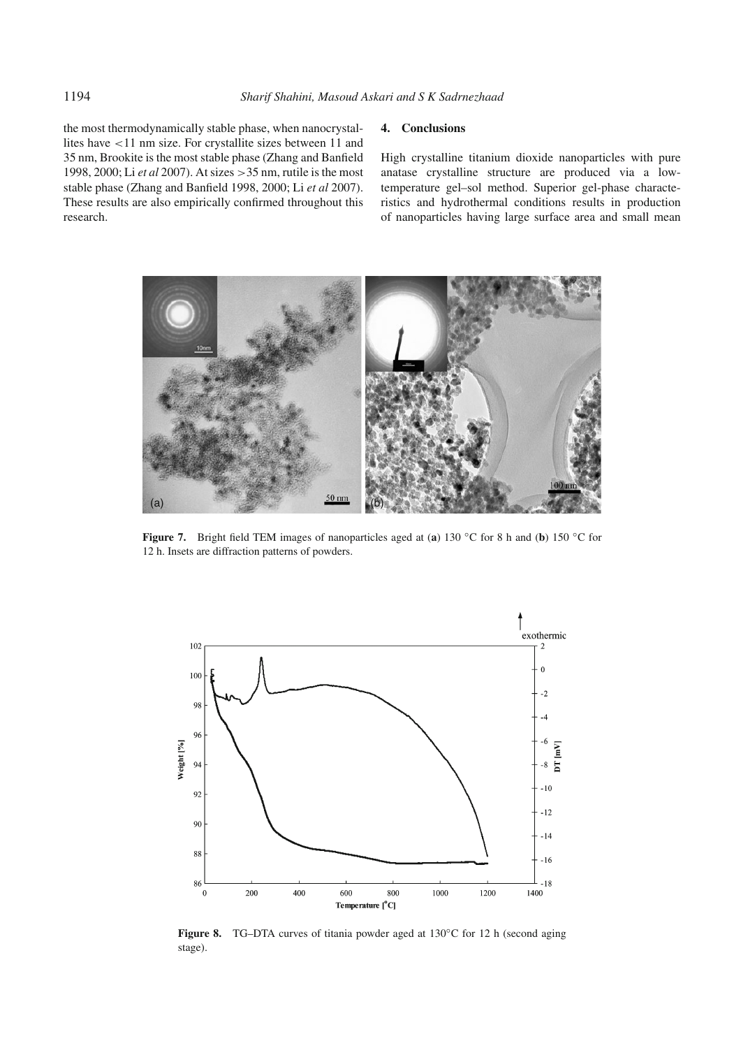the most thermodynamically stable phase, when nanocrystallites have <11 nm size. For crystallite sizes between 11 and 35 nm, Brookite is the most stable phase (Zhang and Banfield 1998, 2000; Li *et al* 2007). At sizes >35 nm, rutile is the most stable phase (Zhang and Banfield 1998, 2000; Li *et al* 2007). These results are also empirically confirmed throughout this research.

## **4. Conclusions**

High crystalline titanium dioxide nanoparticles with pure anatase crystalline structure are produced via a lowtemperature gel–sol method. Superior gel-phase characteristics and hydrothermal conditions results in production of nanoparticles having large surface area and small mean



**Figure 7.** Bright field TEM images of nanoparticles aged at (**a**) 130 ◦C for 8 h and (**b**) 150 ◦C for 12 h. Insets are diffraction patterns of powders.



**Figure 8.** TG–DTA curves of titania powder aged at 130◦C for 12 h (second aging stage).